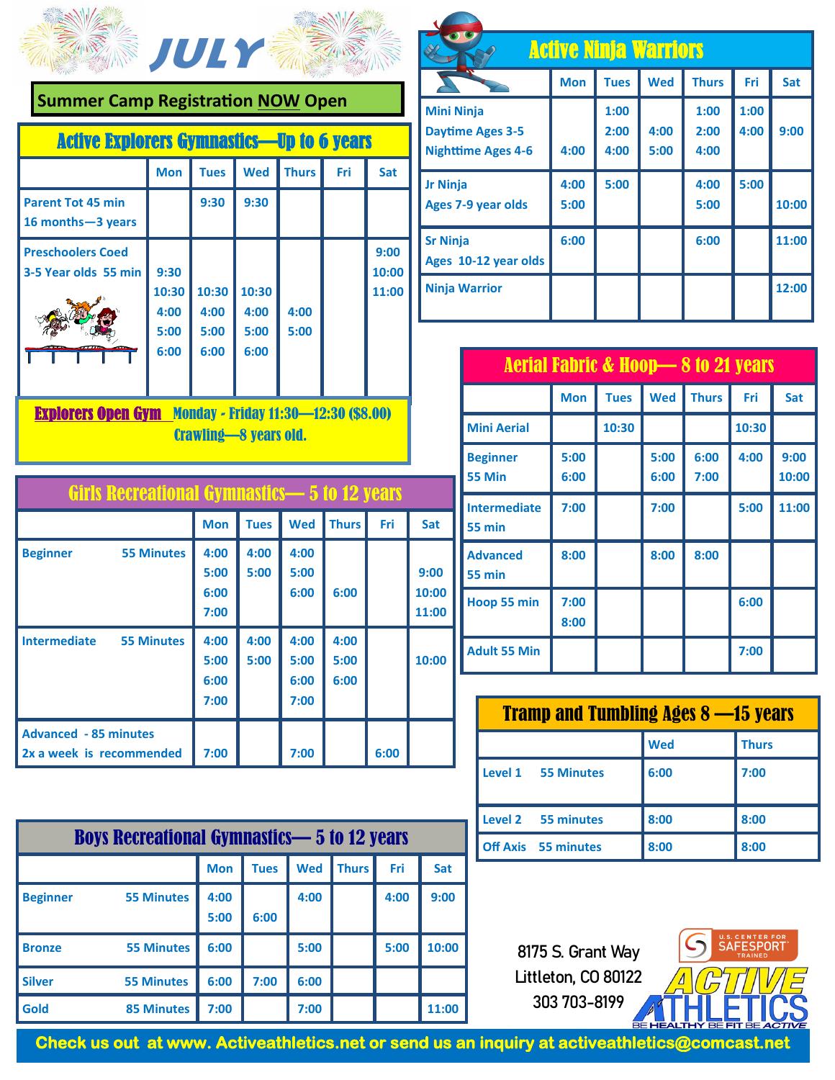

**Summer Camp Registration NOW Open**

| <b>Active Explorers Gymnastics—Up to 6 years</b> |                               |                               |                               |              |     |               |
|--------------------------------------------------|-------------------------------|-------------------------------|-------------------------------|--------------|-----|---------------|
|                                                  | <b>Mon</b>                    | <b>Tues</b>                   | <b>Wed</b>                    | <b>Thurs</b> | Fri | Sat           |
| <b>Parent Tot 45 min</b><br>16 months - 3 years  |                               | 9:30                          | 9:30                          |              |     |               |
| <b>Preschoolers Coed</b><br>3-5 Year olds 55 min | 9:30                          |                               |                               |              |     | 9:00<br>10:00 |
|                                                  | 10:30<br>4:00<br>5:00<br>6:00 | 10:30<br>4:00<br>5:00<br>6:00 | 10:30<br>4:00<br>5:00<br>6:00 | 4:00<br>5:00 |     | 11:00         |

Explorers Open Gym Monday - Friday 11:30—12:30 (\$8.00) Crawling—8 years old.

| Girls Recreational Gymnastics—5 to 12 years              |                              |              |                              |                      |      |                        |
|----------------------------------------------------------|------------------------------|--------------|------------------------------|----------------------|------|------------------------|
|                                                          | <b>Mon</b>                   | <b>Tues</b>  | <b>Wed</b>                   | <b>Thurs</b>         | Fri  | Sat                    |
| <b>55 Minutes</b><br><b>Beginner</b>                     | 4:00<br>5:00<br>6:00<br>7:00 | 4:00<br>5:00 | 4:00<br>5:00<br>6:00         | 6:00                 |      | 9:00<br>10:00<br>11:00 |
| <b>Intermediate</b><br><b>55 Minutes</b>                 | 4:00<br>5:00<br>6:00<br>7:00 | 4:00<br>5:00 | 4:00<br>5:00<br>6:00<br>7:00 | 4:00<br>5:00<br>6:00 |      | 10:00                  |
| <b>Advanced - 85 minutes</b><br>2x a week is recommended | 7:00                         |              | 7:00                         |                      | 6:00 |                        |

| <b>Boys Recreational Gymnastics-5 to 12 years</b> |                   |              |             |            |              |      |       |
|---------------------------------------------------|-------------------|--------------|-------------|------------|--------------|------|-------|
|                                                   |                   | <b>Mon</b>   | <b>Tues</b> | <b>Wed</b> | <b>Thurs</b> | Fri  | Sat   |
| <b>Beginner</b>                                   | <b>55 Minutes</b> | 4:00<br>5:00 | 6:00        | 4:00       |              | 4:00 | 9:00  |
| <b>Bronze</b>                                     | <b>55 Minutes</b> | 6:00         |             | 5:00       |              | 5:00 | 10:00 |
| <b>Silver</b>                                     | <b>55 Minutes</b> | 6:00         | 7:00        | 6:00       |              |      |       |
| Gold                                              | <b>85 Minutes</b> | 7:00         |             | 7:00       |              |      | 11:00 |

| <b>Active Ninja Warriors</b>                                              |              |                      |              |                      |              |       |
|---------------------------------------------------------------------------|--------------|----------------------|--------------|----------------------|--------------|-------|
|                                                                           | <b>Mon</b>   | <b>Tues</b>          | <b>Wed</b>   | <b>Thurs</b>         | Fri          | Sat   |
| <b>Mini Ninja</b><br><b>Daytime Ages 3-5</b><br><b>Nighttime Ages 4-6</b> | 4:00         | 1:00<br>2:00<br>4:00 | 4:00<br>5:00 | 1:00<br>2:00<br>4:00 | 1:00<br>4:00 | 9:00  |
| <b>Jr Ninja</b><br>Ages 7-9 year olds                                     | 4:00<br>5:00 | 5:00                 |              | 4:00<br>5:00         | 5:00         | 10:00 |
| <b>Sr Ninja</b><br>Ages 10-12 year olds                                   | 6:00         |                      |              | 6:00                 |              | 11:00 |
| <b>Ninja Warrior</b>                                                      |              |                      |              |                      |              | 12:00 |

|  | <b>Aerial Fabric &amp; Hoop-8 to 21 years</b> |              |             |              |              |       |               |
|--|-----------------------------------------------|--------------|-------------|--------------|--------------|-------|---------------|
|  |                                               | <b>Mon</b>   | <b>Tues</b> | <b>Wed</b>   | <b>Thurs</b> | Fri   | Sat           |
|  | <b>Mini Aerial</b>                            |              | 10:30       |              |              | 10:30 |               |
|  | <b>Beginner</b><br><b>55 Min</b>              | 5:00<br>6:00 |             | 5:00<br>6:00 | 6:00<br>7:00 | 4:00  | 9:00<br>10:00 |
|  | <b>Intermediate</b><br><b>55 min</b>          | 7:00         |             | 7:00         |              | 5:00  | 11:00         |
|  | <b>Advanced</b><br><b>55 min</b>              | 8:00         |             | 8:00         | 8:00         |       |               |
|  | Hoop 55 min                                   | 7:00<br>8:00 |             |              |              | 6:00  |               |
|  | <b>Adult 55 Min</b>                           |              |             |              |              | 7:00  |               |

| <b>Tramp and Tumbling Ages 8 —15 years</b> |            |              |  |  |  |
|--------------------------------------------|------------|--------------|--|--|--|
|                                            | <b>Wed</b> | <b>Thurs</b> |  |  |  |
| Level 1<br><b>55 Minutes</b>               | 6:00       | 7:00         |  |  |  |
| Level 2 55 minutes                         | 8:00       | 8:00         |  |  |  |
| <b>Off Axis</b> 55 minutes                 | 8:00       | 8:00         |  |  |  |

**8175 S. Grant Way Littleton, CO 80122 303 703-8199**



**Check us out at www. Activeathletics.net or send us an inquiry at activeathletics@comcast.net**